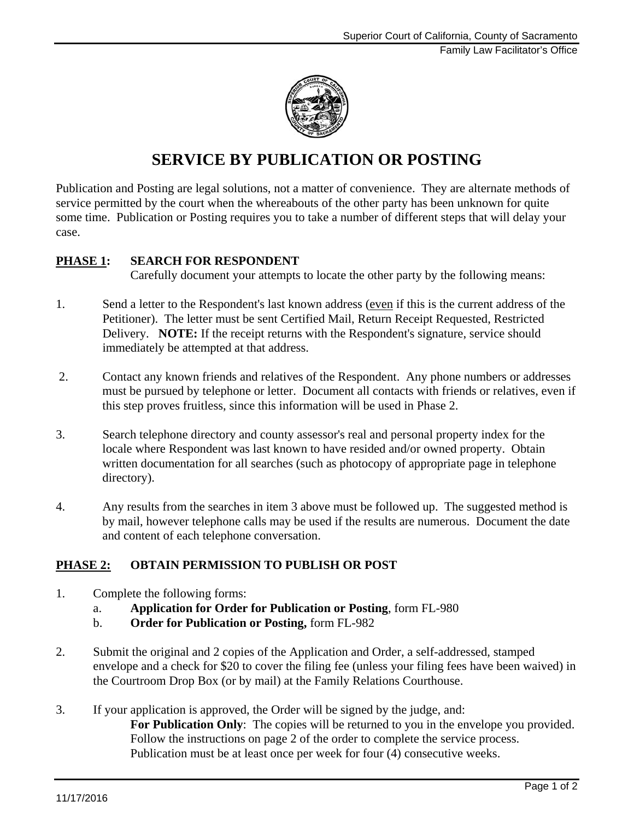

# **SERVICE BY PUBLICATION OR POSTING**

Publication and Posting are legal solutions, not a matter of convenience. They are alternate methods of service permitted by the court when the whereabouts of the other party has been unknown for quite some time. Publication or Posting requires you to take a number of different steps that will delay your case.

### **PHASE 1: SEARCH FOR RESPONDENT**

Carefully document your attempts to locate the other party by the following means:

- 1. Send a letter to the Respondent's last known address (even if this is the current address of the Petitioner). The letter must be sent Certified Mail, Return Receipt Requested, Restricted Delivery. **NOTE:** If the receipt returns with the Respondent's signature, service should immediately be attempted at that address.
- 2. Contact any known friends and relatives of the Respondent. Any phone numbers or addresses must be pursued by telephone or letter. Document all contacts with friends or relatives, even if this step proves fruitless, since this information will be used in Phase 2.
- 3. Search telephone directory and county assessor's real and personal property index for the locale where Respondent was last known to have resided and/or owned property. Obtain written documentation for all searches (such as photocopy of appropriate page in telephone directory).
- 4. Any results from the searches in item 3 above must be followed up. The suggested method is by mail, however telephone calls may be used if the results are numerous. Document the date and content of each telephone conversation.

## **PHASE 2: OBTAIN PERMISSION TO PUBLISH OR POST**

- 1. Complete the following forms:
	- a. **Application for Order for Publication or Posting**, form FL-980
	- b. **Order for Publication or Posting,** form FL-982
- 2. Submit the original and 2 copies of the Application and Order, a self-addressed, stamped envelope and a check for \$20 to cover the filing fee (unless your filing fees have been waived) in the Courtroom Drop Box (or by mail) at the Family Relations Courthouse.
- 3. If your application is approved, the Order will be signed by the judge, and: For Publication Only: The copies will be returned to you in the envelope you provided. Follow the instructions on page 2 of the order to complete the service process. Publication must be at least once per week for four (4) consecutive weeks.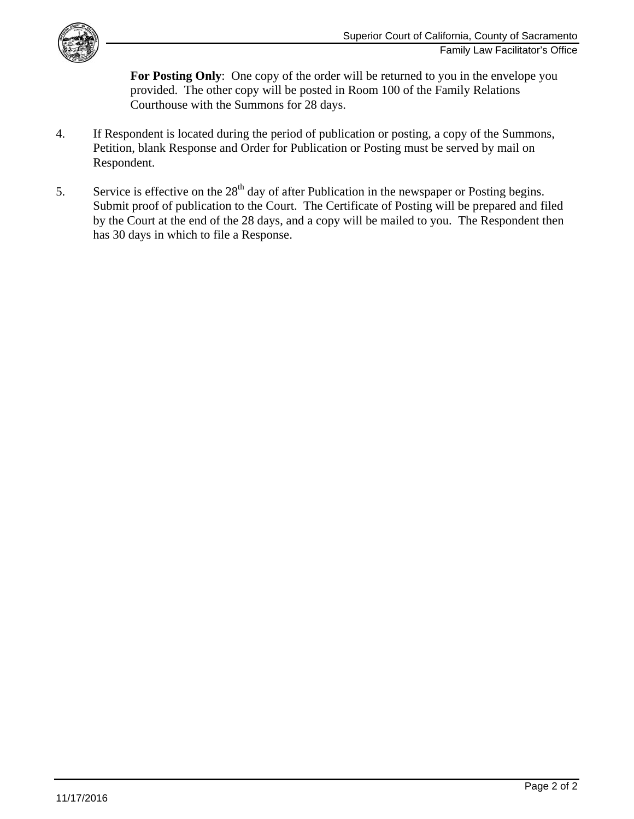

For Posting Only: One copy of the order will be returned to you in the envelope you provided. The other copy will be posted in Room 100 of the Family Relations Courthouse with the Summons for 28 days.

- 4. If Respondent is located during the period of publication or posting, a copy of the Summons, Petition, blank Response and Order for Publication or Posting must be served by mail on Respondent.
- 5. Service is effective on the 28<sup>th</sup> day of after Publication in the newspaper or Posting begins. Submit proof of publication to the Court. The Certificate of Posting will be prepared and filed by the Court at the end of the 28 days, and a copy will be mailed to you. The Respondent then has 30 days in which to file a Response.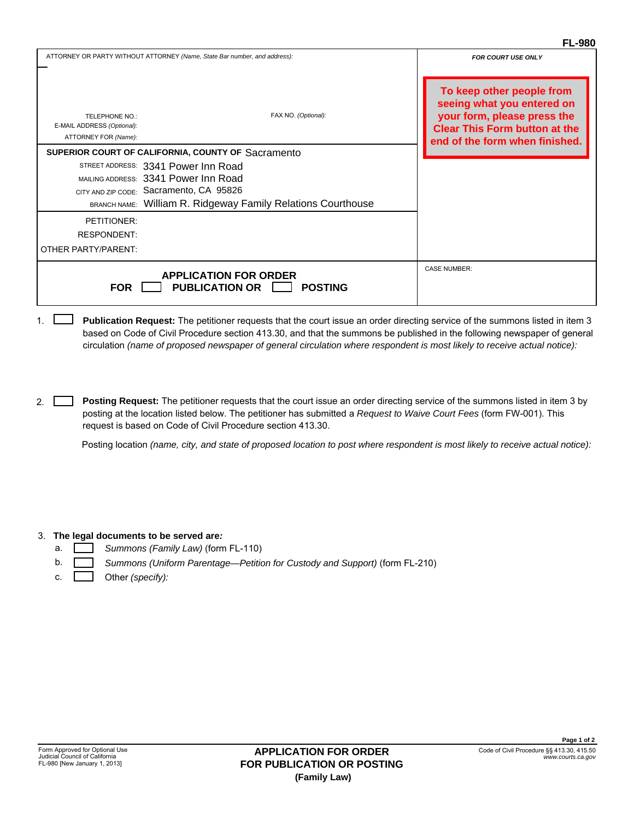### **FL-980**

|                                                                      |                                                                           | FL-980                                                                                                                                                           |
|----------------------------------------------------------------------|---------------------------------------------------------------------------|------------------------------------------------------------------------------------------------------------------------------------------------------------------|
|                                                                      | ATTORNEY OR PARTY WITHOUT ATTORNEY (Name, State Bar number, and address): | <b>FOR COURT USE ONLY</b>                                                                                                                                        |
| TELEPHONE NO.:<br>E-MAIL ADDRESS (Optional):<br>ATTORNEY FOR (Name): | FAX NO. (Optional):                                                       | To keep other people from<br>seeing what you entered on<br>your form, please press the<br><b>Clear This Form button at the</b><br>end of the form when finished. |
|                                                                      | SUPERIOR COURT OF CALIFORNIA, COUNTY OF Sacramento                        |                                                                                                                                                                  |
|                                                                      | STREET ADDRESS: 3341 Power Inn Road                                       |                                                                                                                                                                  |
|                                                                      | MAILING ADDRESS: 3341 Power Inn Road                                      |                                                                                                                                                                  |
|                                                                      | CITY AND ZIP CODE: Sacramento, CA 95826                                   |                                                                                                                                                                  |
|                                                                      | BRANCH NAME: William R. Ridgeway Family Relations Courthouse              |                                                                                                                                                                  |
| PETITIONER:                                                          |                                                                           |                                                                                                                                                                  |
| RESPONDENT:                                                          |                                                                           |                                                                                                                                                                  |
| OTHER PARTY/PARENT:                                                  |                                                                           |                                                                                                                                                                  |
| <b>FOR</b>                                                           | <b>APPLICATION FOR ORDER</b><br><b>PUBLICATION OR</b><br><b>POSTING</b>   | <b>CASE NUMBER:</b>                                                                                                                                              |

**Publication Request:** The petitioner requests that the court issue an order directing service of the summons listed in item 3 based on Code of Civil Procedure section 413.30, and that the summons be published in the following newspaper of general circulation *(name of proposed newspaper of general circulation where respondent is most likely to receive actual notice):*  1.  $\Box$ 

**Posting Request:** The petitioner requests that the court issue an order directing service of the summons listed in item 3 by posting at the location listed below. The petitioner has submitted a *Request to Waive Court Fees* (form FW-001). This request is based on Code of Civil Procedure section 413.30.

Posting location *(name, city, and state of proposed location to post where respondent is most likely to receive actual notice):* 

#### 3. **The legal documents to be served are***:*

- *Summons (Family Law)* (form FL-110)
- *Summons (Uniform Parentage—Petition for Custody and Support)* (form FL-210)
- c. Other *(specify):*

2.

a. b.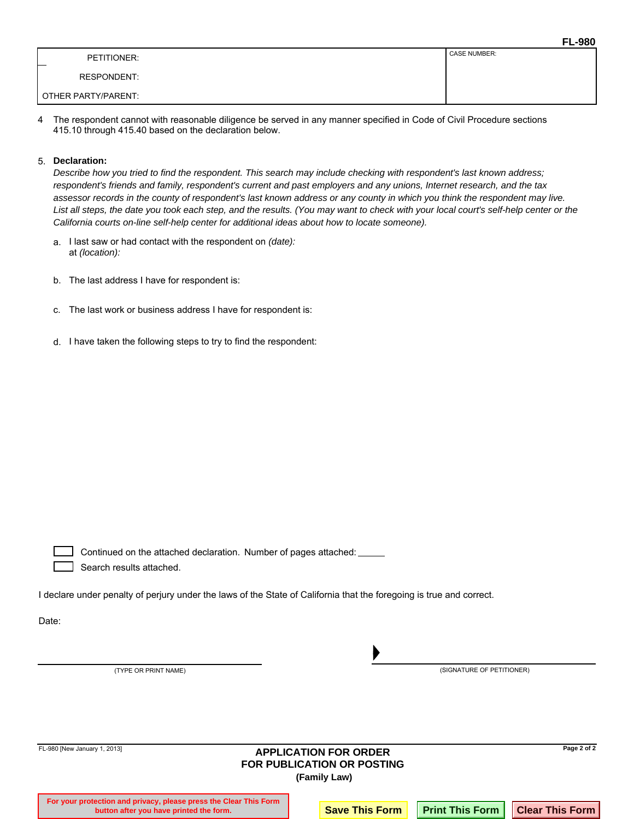|                     | <b>FL-980</b>       |
|---------------------|---------------------|
| PETITIONER:<br>–    | <b>CASE NUMBER:</b> |
| <b>RESPONDENT:</b>  |                     |
| OTHER PARTY/PARENT: |                     |

The respondent cannot with reasonable diligence be served in any manner specified in Code of Civil Procedure sections 415.10 through 415.40 based on the declaration below. 4

### **Declaration:** 5.

*Describe how you tried to find the respondent. This search may include checking with respondent's last known address; respondent's friends and family, respondent's current and past employers and any unions, Internet research, and the tax assessor records in the county of respondent's last known address or any county in which you think the respondent may live.*  List all steps, the date you took each step, and the results. (You may want to check with your local court's self-help center or the *California courts on-line self-help center for additional ideas about how to locate someone).*

- a. I last saw or had contact with the respondent on *(date):* at *(location):*
- b. The last address I have for respondent is:
- c. The last work or business address I have for respondent is:
- d. I have taken the following steps to try to find the respondent:

Continued on the attached declaration. Number of pages attached: Search results attached.

I declare under penalty of perjury under the laws of the State of California that the foregoing is true and correct.

Date:

(TYPE OR PRINT NAME)

(SIGNATURE OF PETITIONER)

| FL-980 [New January 1, 2013]<br><b>APPLICATION FOR ORDER</b><br><b>FOR PUBLICATION OR POSTING</b><br>(Family Law) |                                                                                                              |  |                       |  |                                            |
|-------------------------------------------------------------------------------------------------------------------|--------------------------------------------------------------------------------------------------------------|--|-----------------------|--|--------------------------------------------|
|                                                                                                                   | For your protection and privacy, please press the Clear This Form<br>button after you have printed the form. |  | <b>Save This Form</b> |  | <b>Print This Form   Clear This Form  </b> |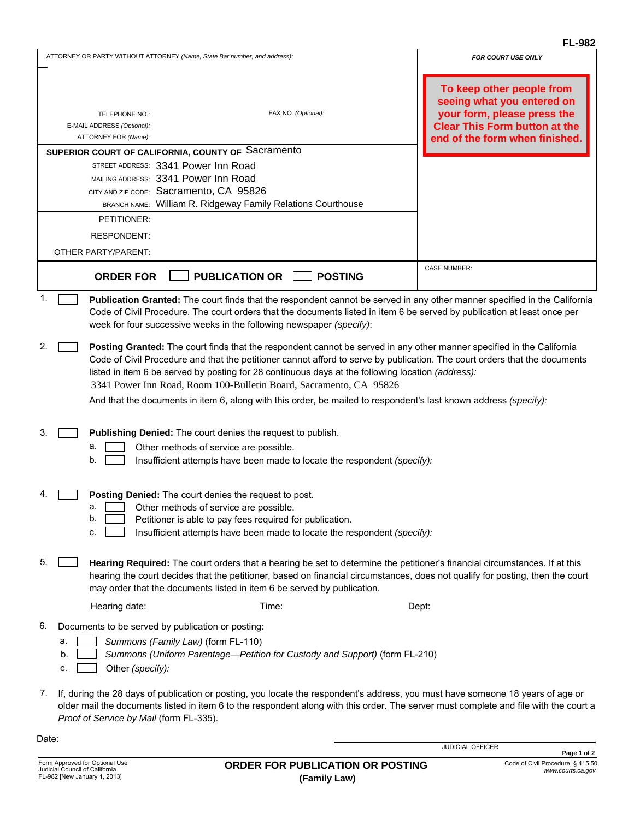### **FL-982**

|    |                                                                                                                                                                                                                                                                                                                                                                                                                                | <b>FL-982</b>                                                                                                                                                    |
|----|--------------------------------------------------------------------------------------------------------------------------------------------------------------------------------------------------------------------------------------------------------------------------------------------------------------------------------------------------------------------------------------------------------------------------------|------------------------------------------------------------------------------------------------------------------------------------------------------------------|
|    | ATTORNEY OR PARTY WITHOUT ATTORNEY (Name, State Bar number, and address):                                                                                                                                                                                                                                                                                                                                                      | <b>FOR COURT USE ONLY</b>                                                                                                                                        |
|    | FAX NO. (Optional):<br>TELEPHONE NO.:<br>E-MAIL ADDRESS (Optional):<br>ATTORNEY FOR (Name):                                                                                                                                                                                                                                                                                                                                    | To keep other people from<br>seeing what you entered on<br>your form, please press the<br><b>Clear This Form button at the</b><br>end of the form when finished. |
|    | SUPERIOR COURT OF CALIFORNIA, COUNTY OF Sacramento                                                                                                                                                                                                                                                                                                                                                                             |                                                                                                                                                                  |
|    | STREET ADDRESS: 3341 Power Inn Road<br>MAILING ADDRESS: 3341 Power Inn Road<br>CITY AND ZIP CODE: Sacramento, CA 95826<br>BRANCH NAME: William R. Ridgeway Family Relations Courthouse<br>PETITIONER:                                                                                                                                                                                                                          |                                                                                                                                                                  |
|    |                                                                                                                                                                                                                                                                                                                                                                                                                                |                                                                                                                                                                  |
|    | <b>RESPONDENT:</b>                                                                                                                                                                                                                                                                                                                                                                                                             |                                                                                                                                                                  |
|    | OTHER PARTY/PARENT:                                                                                                                                                                                                                                                                                                                                                                                                            |                                                                                                                                                                  |
|    |                                                                                                                                                                                                                                                                                                                                                                                                                                |                                                                                                                                                                  |
|    | <b>PUBLICATION OR</b><br><b>POSTING</b><br><b>ORDER FOR</b>                                                                                                                                                                                                                                                                                                                                                                    | <b>CASE NUMBER:</b>                                                                                                                                              |
| 1. | Publication Granted: The court finds that the respondent cannot be served in any other manner specified in the California<br>Code of Civil Procedure. The court orders that the documents listed in item 6 be served by publication at least once per<br>week for four successive weeks in the following newspaper (specify):                                                                                                  |                                                                                                                                                                  |
| 2. | Posting Granted: The court finds that the respondent cannot be served in any other manner specified in the California<br>Code of Civil Procedure and that the petitioner cannot afford to serve by publication. The court orders that the documents<br>listed in item 6 be served by posting for 28 continuous days at the following location (address):<br>3341 Power Inn Road, Room 100-Bulletin Board, Sacramento, CA 95826 |                                                                                                                                                                  |
|    | And that the documents in item 6, along with this order, be mailed to respondent's last known address (specify):                                                                                                                                                                                                                                                                                                               |                                                                                                                                                                  |
| 3. | Publishing Denied: The court denies the request to publish.<br>а.<br>Other methods of service are possible.<br>b.<br>Insufficient attempts have been made to locate the respondent (specify):                                                                                                                                                                                                                                  |                                                                                                                                                                  |
|    | Posting Denied: The court denies the request to post.<br>Other methods of service are possible.<br>a.<br>b.<br>Petitioner is able to pay fees required for publication.<br>Insufficient attempts have been made to locate the respondent (specify):<br>c.                                                                                                                                                                      |                                                                                                                                                                  |
| 5. | Hearing Required: The court orders that a hearing be set to determine the petitioner's financial circumstances. If at this<br>hearing the court decides that the petitioner, based on financial circumstances, does not qualify for posting, then the court<br>may order that the documents listed in item 6 be served by publication.                                                                                         |                                                                                                                                                                  |
|    | Time:<br>Hearing date:                                                                                                                                                                                                                                                                                                                                                                                                         | Dept:                                                                                                                                                            |
|    |                                                                                                                                                                                                                                                                                                                                                                                                                                |                                                                                                                                                                  |
| 6. | Documents to be served by publication or posting:                                                                                                                                                                                                                                                                                                                                                                              |                                                                                                                                                                  |
|    | Summons (Family Law) (form FL-110)<br>a.<br>b.<br>Summons (Uniform Parentage-Petition for Custody and Support) (form FL-210)<br>Other (specify):<br>C.                                                                                                                                                                                                                                                                         |                                                                                                                                                                  |
|    |                                                                                                                                                                                                                                                                                                                                                                                                                                |                                                                                                                                                                  |
| 7. | If, during the 28 days of publication or posting, you locate the respondent's address, you must have someone 18 years of age or<br>older mail the documents listed in item 6 to the respondent along with this order. The server must complete and file with the court a<br>Proof of Service by Mail (form FL-335).                                                                                                            |                                                                                                                                                                  |

Date:

JUDICIAL OFFICER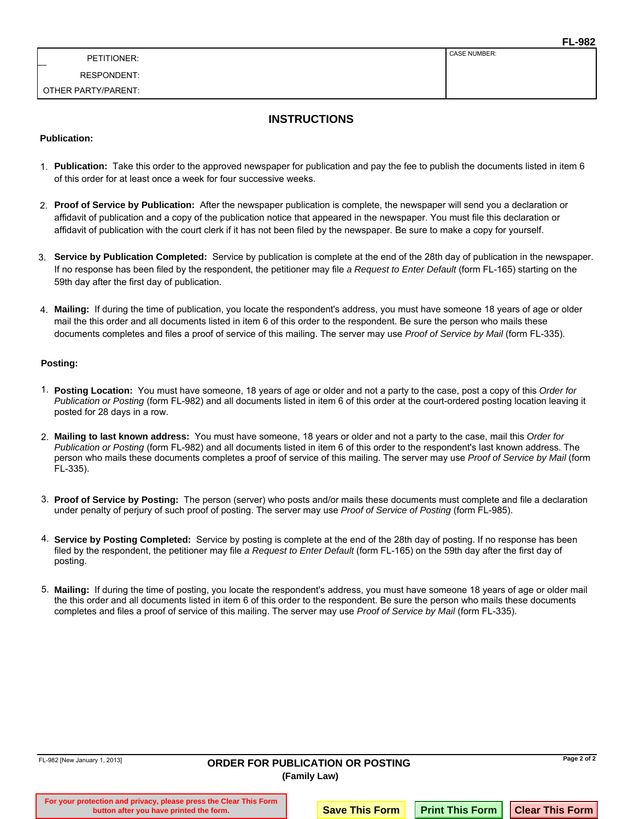CASE NUMBER:

RESPONDENT:

OTHER PARTY/PARENT:

### **INSTRUCTIONS**

### **Publication:**

- **Publication:** Take this order to the approved newspaper for publication and pay the fee to publish the documents listed in item 6 1. of this order for at least once a week for four successive weeks.
- **Proof of Service by Publication:** After the newspaper publication is complete, the newspaper will send you a declaration or 2. affidavit of publication and a copy of the publication notice that appeared in the newspaper. You must file this declaration or affidavit of publication with the court clerk if it has not been filed by the newspaper. Be sure to make a copy for yourself.
- **Service by Publication Completed:** Service by publication is complete at the end of the 28th day of publication in the newspaper. 3. If no response has been filed by the respondent, the petitioner may file *a Request to Enter Default* (form FL-165) starting on the 59th day after the first day of publication.
- **Mailing:** If during the time of publication, you locate the respondent's address, you must have someone 18 years of age or older 4. mail the this order and all documents listed in item 6 of this order to the respondent. Be sure the person who mails these documents completes and files a proof of service of this mailing. The server may use *Proof of Service by Mail* (form FL-335).

#### **Posting:**

- **Posting Location:** You must have someone, 18 years of age or older and not a party to the case, post a copy of this *Order for*  1. *Publication or Posting* (form FL-982) and all documents listed in item 6 of this order at the court-ordered posting location leaving it posted for 28 days in a row.
- **Mailing to last known address:** You must have someone, 18 years or older and not a party to the case, mail this *Order for*  2. *Publication or Posting* (form FL-982) and all documents listed in item 6 of this order to the respondent's last known address. The person who mails these documents completes a proof of service of this mailing. The server may use *Proof of Service by Mail* (form FL-335).
- **Proof of Service by Posting:** The person (server) who posts and/or mails these documents must complete and file a declaration 3. under penalty of perjury of such proof of posting. The server may use *Proof of Service of Posting* (form FL-985).
- **Service by Posting Completed:** Service by posting is complete at the end of the 28th day of posting. If no response has been 4. filed by the respondent, the petitioner may file *a Request to Enter Default* (form FL-165) on the 59th day after the first day of posting.
- **Mailing:** If during the time of posting, you locate the respondent's address, you must have someone 18 years of age or older mail 5. the this order and all documents listed in item 6 of this order to the respondent. Be sure the person who mails these documents completes and files a proof of service of this mailing. The server may use *Proof of Service by Mail* (form FL-335).

| FL-982 [New January 1, 2013]<br><b>ORDER FOR PUBLICATION OR POSTING</b><br>(Family Law) |                                                                                                              |  |                       |  | Page 2 of 2                                |
|-----------------------------------------------------------------------------------------|--------------------------------------------------------------------------------------------------------------|--|-----------------------|--|--------------------------------------------|
|                                                                                         | For your protection and privacy, please press the Clear This Form<br>button after you have printed the form. |  | <b>Save This Form</b> |  | <b>Print This Form   Clear This Form  </b> |